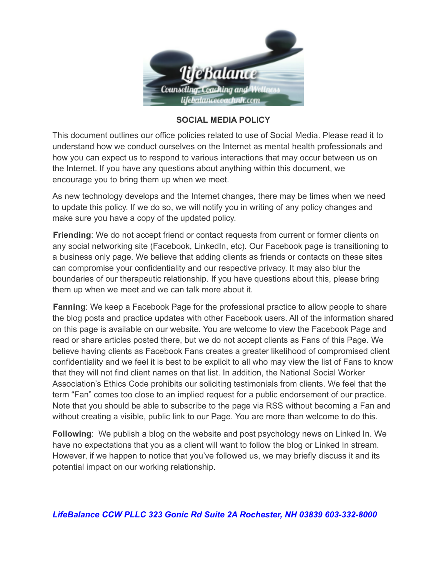

## **SOCIAL MEDIA POLICY**

This document outlines our office policies related to use of Social Media. Please read it to understand how we conduct ourselves on the Internet as mental health professionals and how you can expect us to respond to various interactions that may occur between us on the Internet. If you have any questions about anything within this document, we encourage you to bring them up when we meet.

As new technology develops and the Internet changes, there may be times when we need to update this policy. If we do so, we will notify you in writing of any policy changes and make sure you have a copy of the updated policy.

**Friending**: We do not accept friend or contact requests from current or former clients on any social networking site (Facebook, LinkedIn, etc). Our Facebook page is transitioning to a business only page. We believe that adding clients as friends or contacts on these sites can compromise your confidentiality and our respective privacy. It may also blur the boundaries of our therapeutic relationship. If you have questions about this, please bring them up when we meet and we can talk more about it.

**Fanning**: We keep a Facebook Page for the professional practice to allow people to share the blog posts and practice updates with other Facebook users. All of the information shared on this page is available on our website. You are welcome to view the Facebook Page and read or share articles posted there, but we do not accept clients as Fans of this Page. We believe having clients as Facebook Fans creates a greater likelihood of compromised client confidentiality and we feel it is best to be explicit to all who may view the list of Fans to know that they will not find client names on that list. In addition, the National Social Worker Association's Ethics Code prohibits our soliciting testimonials from clients. We feel that the term "Fan" comes too close to an implied request for a public endorsement of our practice. Note that you should be able to subscribe to the page via RSS without becoming a Fan and without creating a visible, public link to our Page. You are more than welcome to do this.

**Following**: We publish a blog on the website and post psychology news on Linked In. We have no expectations that you as a client will want to follow the blog or Linked In stream. However, if we happen to notice that you've followed us, we may briefly discuss it and its potential impact on our working relationship.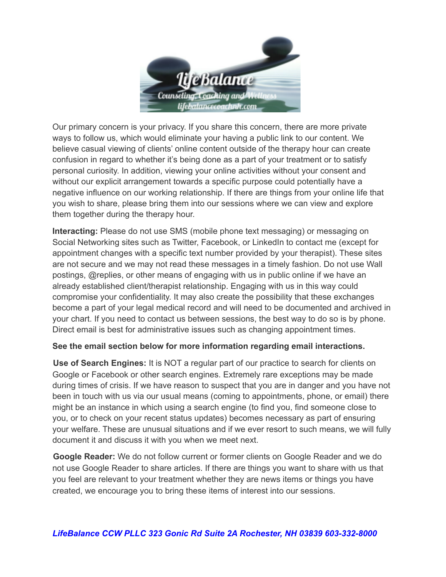

Our primary concern is your privacy. If you share this concern, there are more private ways to follow us, which would eliminate your having a public link to our content. We believe casual viewing of clients' online content outside of the therapy hour can create confusion in regard to whether it's being done as a part of your treatment or to satisfy personal curiosity. In addition, viewing your online activities without your consent and without our explicit arrangement towards a specific purpose could potentially have a negative influence on our working relationship. If there are things from your online life that you wish to share, please bring them into our sessions where we can view and explore them together during the therapy hour.

**Interacting:** Please do not use SMS (mobile phone text messaging) or messaging on Social Networking sites such as Twitter, Facebook, or LinkedIn to contact me (except for appointment changes with a specific text number provided by your therapist). These sites are not secure and we may not read these messages in a timely fashion. Do not use Wall postings, @replies, or other means of engaging with us in public online if we have an already established client/therapist relationship. Engaging with us in this way could compromise your confidentiality. It may also create the possibility that these exchanges become a part of your legal medical record and will need to be documented and archived in your chart. If you need to contact us between sessions, the best way to do so is by phone. Direct email is best for administrative issues such as changing appointment times.

## **See the email section below for more information regarding email interactions.**

**Use of Search Engines:** It is NOT a regular part of our practice to search for clients on Google or Facebook or other search engines. Extremely rare exceptions may be made during times of crisis. If we have reason to suspect that you are in danger and you have not been in touch with us via our usual means (coming to appointments, phone, or email) there might be an instance in which using a search engine (to find you, find someone close to you, or to check on your recent status updates) becomes necessary as part of ensuring your welfare. These are unusual situations and if we ever resort to such means, we will fully document it and discuss it with you when we meet next.

**Google Reader:** We do not follow current or former clients on Google Reader and we do not use Google Reader to share articles. If there are things you want to share with us that you feel are relevant to your treatment whether they are news items or things you have created, we encourage you to bring these items of interest into our sessions.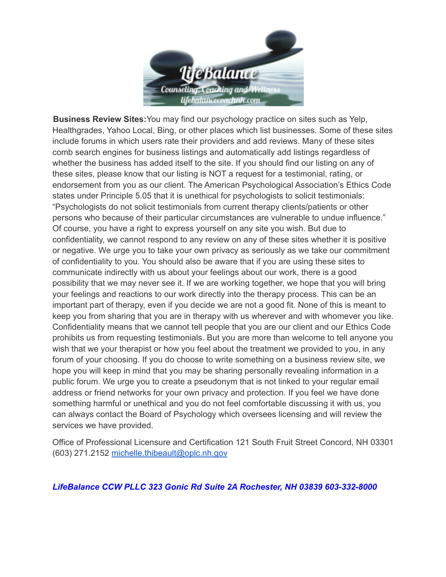

**Business Review Sites:**You may find our psychology practice on sites such as Yelp, Healthgrades, Yahoo Local, Bing, or other places which list businesses. Some of these sites include forums in which users rate their providers and add reviews. Many of these sites comb search engines for business listings and automatically add listings regardless of whether the business has added itself to the site. If you should find our listing on any of these sites, please know that our listing is NOT a request for a testimonial, rating, or endorsement from you as our client. The American Psychological Association's Ethics Code states under Principle 5.05 that it is unethical for psychologists to solicit testimonials: "Psychologists do not solicit testimonials from current therapy clients/patients or other persons who because of their particular circumstances are vulnerable to undue influence." Of course, you have a right to express yourself on any site you wish. But due to confidentiality, we cannot respond to any review on any of these sites whether it is positive or negative. We urge you to take your own privacy as seriously as we take our commitment of confidentiality to you. You should also be aware that if you are using these sites to communicate indirectly with us about your feelings about our work, there is a good possibility that we may never see it. If we are working together, we hope that you will bring your feelings and reactions to our work directly into the therapy process. This can be an important part of therapy, even if you decide we are not a good fit. None of this is meant to keep you from sharing that you are in therapy with us wherever and with whomever you like. Confidentiality means that we cannot tell people that you are our client and our Ethics Code prohibits us from requesting testimonials. But you are more than welcome to tell anyone you wish that we your therapist or how you feel about the treatment we provided to you, in any forum of your choosing. If you do choose to write something on a business review site, we hope you will keep in mind that you may be sharing personally revealing information in a public forum. We urge you to create a pseudonym that is not linked to your regular email address or friend networks for your own privacy and protection. If you feel we have done something harmful or unethical and you do not feel comfortable discussing it with us, you can always contact the Board of Psychology which oversees licensing and will review the services we have provided.

Office of Professional Licensure and Certification 121 South Fruit Street Concord, NH 03301 (603) 271.2152 [michelle.thibeault@oplc.nh.gov](mailto:michelle.thibeault@oplc.nh.gov)

## *LifeBalance CCW PLLC 323 Gonic Rd Suite 2A Rochester, NH 03839 603-332-8000*